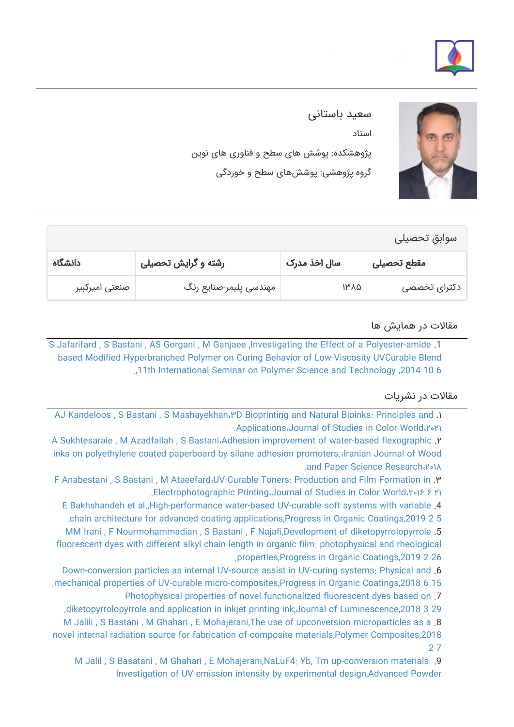



سعید باستانی استاد پژوهشکده: پوشش های سطح و فناوری های نوین گروه پژوهشی: پوششهای سطح و خوردگی

| سوابق تحصيلى   |                        |                          |              |
|----------------|------------------------|--------------------------|--------------|
| دانشگاه        | رشته و گرایش تحصیلی    | سال اخذ مدرک             | مقطع تحصيلى  |
| صنعتی امیرکبیر | مهندسی پلیمر-صنایع رنگ | $1^{\mu} \Lambda \Delta$ | دکترای تخصصی |

## مقالات در همایش ها

[S Jafarifard , S Bastani , AS Gorgani , M Ganjaee ,Investigating the Effect of a Polyester-amide](https://faculty.icrc.ac.ir/saeed-bastani/fa/articlesInConferences/104/investigating-the-effect-of-a-polyester-amide-based-modified-hyperbranched-polymer-on-curing-behavior-of-low-viscosity-uvcurable-blend) .1 [based Modified Hyperbranched Polymer on Curing Behavior of Low-Viscosity UVCurable Blend](https://faculty.icrc.ac.ir/saeed-bastani/fa/articlesInConferences/104/investigating-the-effect-of-a-polyester-amide-based-modified-hyperbranched-polymer-on-curing-behavior-of-low-viscosity-uvcurable-blend) [.,11th International Seminar on Polymer Science and Technology ,2014 10 6](https://faculty.icrc.ac.ir/saeed-bastani/fa/articlesInConferences/104/investigating-the-effect-of-a-polyester-amide-based-modified-hyperbranched-polymer-on-curing-behavior-of-low-viscosity-uvcurable-blend)

## مقالات در نشریات

[AJ Kandeloos , S Bastani , S Mashayekhan،۳D Bioprinting and Natural Bioinks: Principles and](https://faculty.icrc.ac.ir/saeed-bastani/fa/articlesInPublications/783/3d-bioprinting-and-natural-bioinks-principles-and-applications) .۱ [.Applications،Journal of Studies in Color World،۲۰۲۱](https://faculty.icrc.ac.ir/saeed-bastani/fa/articlesInPublications/783/3d-bioprinting-and-natural-bioinks-principles-and-applications)

[A Sukhtesaraie , M Azadfallah , S Bastani،Adhesion improvement of water-based flexographic](https://faculty.icrc.ac.ir/saeed-bastani/fa/articlesInPublications/793/adhesion-improvement-of-water-based-flexographic-inks-on-polyethylene-coated-paperboard-by-silane-adhesion-promoters.) .۲ [inks on polyethylene coated paperboard by silane adhesion promoters.،Iranian Journal of Wood](https://faculty.icrc.ac.ir/saeed-bastani/fa/articlesInPublications/793/adhesion-improvement-of-water-based-flexographic-inks-on-polyethylene-coated-paperboard-by-silane-adhesion-promoters.) [.and Paper Science Research،۲۰۱۸](https://faculty.icrc.ac.ir/saeed-bastani/fa/articlesInPublications/793/adhesion-improvement-of-water-based-flexographic-inks-on-polyethylene-coated-paperboard-by-silane-adhesion-promoters.)

[F Anabestani , S Bastani , M Ataeefard،UV-Curable Toners: Production and Film Formation in](https://faculty.icrc.ac.ir/saeed-bastani/fa/articlesInPublications/797/uv-curable-toners-production-and-film-formation-in-electrophotographic-printing) .۳ [.Electrophotographic Printing،Journal of Studies in Color World،۲۰۱۶ ۶ ۲۱](https://faculty.icrc.ac.ir/saeed-bastani/fa/articlesInPublications/797/uv-curable-toners-production-and-film-formation-in-electrophotographic-printing)

[E Bakhshandeh et al.,High-performance water-based UV-curable soft systems with variable](https://faculty.icrc.ac.ir/saeed-bastani/fa/articlesInPublications/785/high-performance-water-based-uv-curable-soft-systems-with-variable-chain-architecture-for-advanced-coating-applications) .4

[.chain architecture for advanced coating applications,Progress in Organic Coatings,2019 2 5](https://faculty.icrc.ac.ir/saeed-bastani/fa/articlesInPublications/785/high-performance-water-based-uv-curable-soft-systems-with-variable-chain-architecture-for-advanced-coating-applications)

[MM Irani , F Nourmohammadian , S Bastani , F Najafi,Development of diketopyrrolopyrrole](https://faculty.icrc.ac.ir/saeed-bastani/fa/articlesInPublications/784/development-of-diketopyrrolopyrrole-fluorescent-dyes-with-different-alkyl-chain-length-in-organic-film-photophysical-and-rheological-properties) .5 [fluorescent dyes with different alkyl chain length in organic film: photophysical and rheological](https://faculty.icrc.ac.ir/saeed-bastani/fa/articlesInPublications/784/development-of-diketopyrrolopyrrole-fluorescent-dyes-with-different-alkyl-chain-length-in-organic-film-photophysical-and-rheological-properties) [.properties,Progress in Organic Coatings,2019 2 26](https://faculty.icrc.ac.ir/saeed-bastani/fa/articlesInPublications/784/development-of-diketopyrrolopyrrole-fluorescent-dyes-with-different-alkyl-chain-length-in-organic-film-photophysical-and-rheological-properties)

[Down-conversion particles as internal UV-source assist in UV-curing systems: Physical and](https://faculty.icrc.ac.ir/saeed-bastani/fa/articlesInPublications/787/down-conversion-particles-as-internal-uv-source-assist-in-uv-curing-systems-physical-and-mechanical-properties-of-uv-curable-micro-composites) .6

[.mechanical properties of UV-curable micro-composites,Progress in Organic Coatings,2018 6 15](https://faculty.icrc.ac.ir/saeed-bastani/fa/articlesInPublications/787/down-conversion-particles-as-internal-uv-source-assist-in-uv-curing-systems-physical-and-mechanical-properties-of-uv-curable-micro-composites) [Photophysical properties of novel functionalized fluorescent dyes based on](https://faculty.icrc.ac.ir/saeed-bastani/fa/articlesInPublications/788/photophysical-properties-of-novel-functionalized-fluorescent-dyes-based-on-diketopyrrolopyrrole-and-application-in-inkjet-printing-ink) .7

[.diketopyrrolopyrrole and application in inkjet printing ink,Journal of Luminescence,2018 3 29](https://faculty.icrc.ac.ir/saeed-bastani/fa/articlesInPublications/788/photophysical-properties-of-novel-functionalized-fluorescent-dyes-based-on-diketopyrrolopyrrole-and-application-in-inkjet-printing-ink)

[M Jalili , S Bastani , M Ghahari , E Mohajerani,The use of upconversion microparticles as a](https://faculty.icrc.ac.ir/saeed-bastani/fa/articlesInPublications/786/the-use-of-upconversion-microparticles-as-a-novel-internal-radiation-source-for-fabrication-of-composite-materials) .8 [novel internal radiation source for fabrication of composite materials,Polymer Composites,2018](https://faculty.icrc.ac.ir/saeed-bastani/fa/articlesInPublications/786/the-use-of-upconversion-microparticles-as-a-novel-internal-radiation-source-for-fabrication-of-composite-materials) [.2 7](https://faculty.icrc.ac.ir/saeed-bastani/fa/articlesInPublications/786/the-use-of-upconversion-microparticles-as-a-novel-internal-radiation-source-for-fabrication-of-composite-materials)

[M Jalil , S Basatani , M Ghahari , E Mohajerani,NaLuF4: Yb, Tm up-conversion materials:](https://faculty.icrc.ac.ir/saeed-bastani/fa/articlesInPublications/790/naluf4-yb-tm-up-conversion-materials-investigation-of-uv-emission-intensity-by-experimental-design) .9 [Investigation of UV emission intensity by experimental design,Advanced Powder](https://faculty.icrc.ac.ir/saeed-bastani/fa/articlesInPublications/790/naluf4-yb-tm-up-conversion-materials-investigation-of-uv-emission-intensity-by-experimental-design)